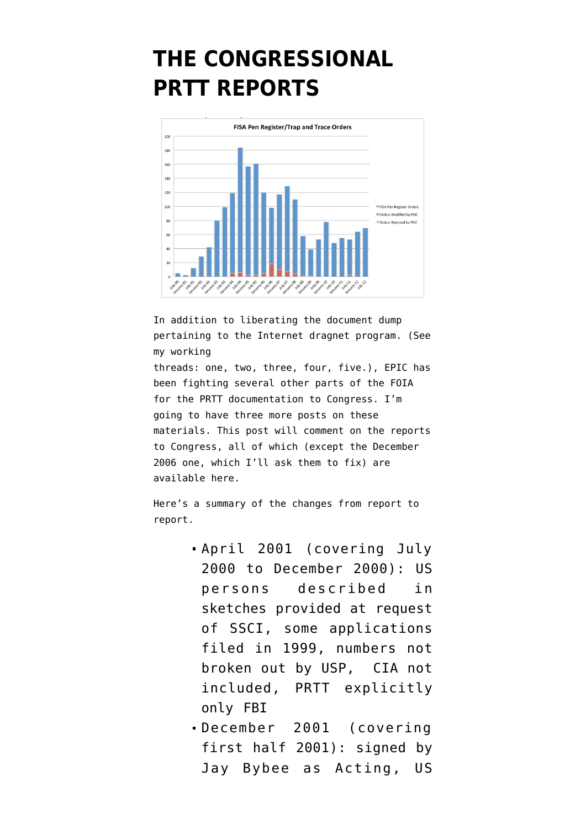## **[THE CONGRESSIONAL](https://www.emptywheel.net/2014/11/28/the-congressional-prtt-reports/) [PRTT REPORTS](https://www.emptywheel.net/2014/11/28/the-congressional-prtt-reports/)**



In addition to liberating the document dump pertaining to the Internet dragnet program. (See my working

threads: [one](https://www.emptywheel.net/2014/08/11/internet-dragnet-materials-working-thread-1/), [two,](https://www.emptywheel.net/2014/08/12/working-thread-internet-dragnet-dump-2-2004-documents/) [three,](https://www.emptywheel.net/2014/08/13/working-thread-internet-dragnet-dump-3-early-2009-documents/) [four,](https://www.emptywheel.net/2014/08/18/working-thread-internet-dragnet-4-later-2009-documents/) [five](https://www.emptywheel.net/2014/08/20/working-thread-internet-dragnet-5-the-audacious-2010-reapplication/).), EPIC has been fighting several other parts of the FOIA for the PRTT documentation to Congress. I'm going to have three more posts on these materials. This post will comment on the reports to Congress, all of which (except the December 2006 one, which I'll ask them to fix) are available [here](https://www.epic.org/foia/doj/pen-reg-trap-trace/).

Here's a summary of the changes from report to report.

- [April 2001](https://www.epic.org/foia/doj/pen-reg-trap-trace/001.%2027%20April%202001%20SAR%20%5BPRTT%20pages%5D-OCR.pdf) (covering July 2000 to December 2000): US persons described in sketches provided at request of SSCI, some applications filed in 1999, numbers not broken out by USP, CIA not included, PRTT explicitly only FBI
- [December 2001](https://www.epic.org/foia/doj/pen-reg-trap-trace/002.%2031%20December%202001%20SAR%20%5BPRTT%20pages%5D-OCR.pdf) (covering first half 2001): signed by Jay Bybee as Acting, US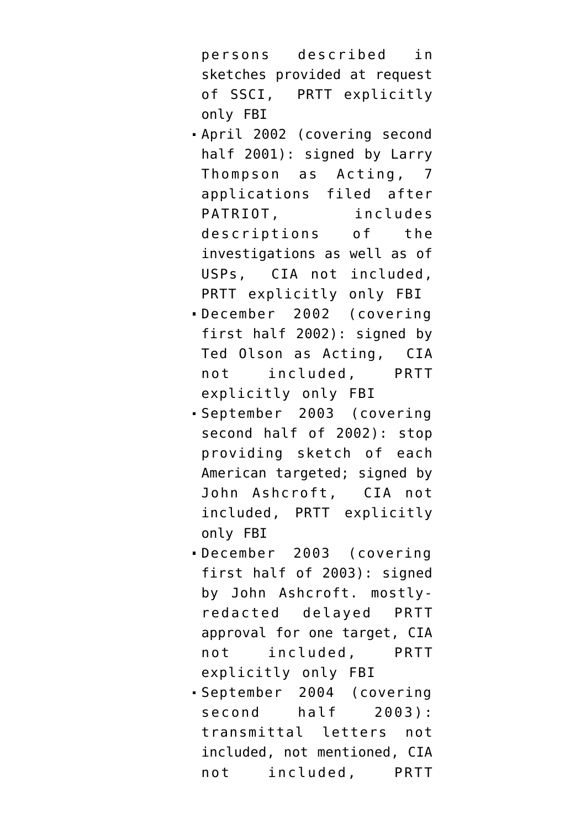persons described in sketches provided at request of SSCI, PRTT explicitly only FBI

- [April 2002](https://www.epic.org/foia/doj/pen-reg-trap-trace/003.%2029%20April%202001%20SAR%20%5BPRTT%20pages%5D-OCR.pdf) (covering second half 2001): signed by Larry Thompson as Acting, 7 applications filed after PATRIOT, includes descriptions of the investigations as well as of USPs, CIA not included, PRTT explicitly only FBI
- [December 2002](https://www.epic.org/foia/doj/pen-reg-trap-trace/004.%20December%202002%20SAR%20%5BPRTT%20pages%5D-OCR.pdf) (covering first half 2002): signed by Ted Olson as Acting, CIA not included, PRTT explicitly only FBI
- [September 2003](https://www.epic.org/foia/doj/pen-reg-trap-trace/005.%2017%20September%202003%20SAR%20%5BPRTT%20pages%5D-OCR.pdf) (covering second half of 2002): stop providing sketch of each American targeted; signed by John Ashcroft, CIA not included, PRTT explicitly only FBI
- [December 2003](https://www.epic.org/foia/doj/pen-reg-trap-trace/006.%20December%202003%20SAR%20%5BPRTT%20pages%5D-OCR.pdf) (covering first half of 2003): signed by John Ashcroft. mostlyredacted delayed PRTT approval for one target, CIA not included, PRTT explicitly only FBI
- [September 2004](https://www.epic.org/foia/doj/pen-reg-trap-trace/007.%20September%202004%20SAR%20%5BPRTT%20pages%5D-OCR.pdf) (covering second half 2003): transmittal letters not included, not mentioned, CIA not included, PRTT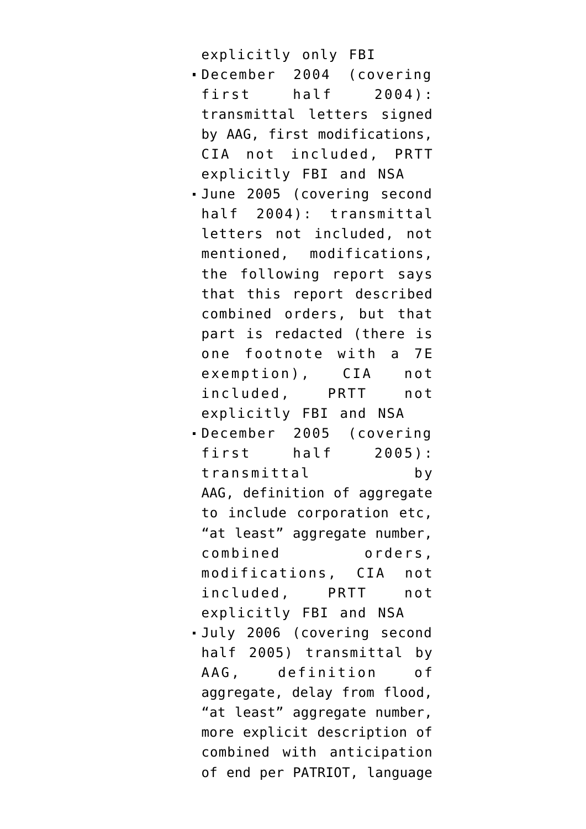explicitly only FBI

- [December 2004](https://www.epic.org/foia/doj/pen-reg-trap-trace/008.%2023%20December%202004%20SAR%20%5BPRTT%20pages%5D-OCR.pdf) (covering first half 2004): transmittal letters signed by AAG, first modifications, CIA not included, PRTT explicitly FBI and NSA
- [June 2005](https://www.epic.org/foia/doj/pen-reg-trap-trace/009.%20June%202005%20SAR%20%5BPRTT%20pages%5D-OCR.pdf) (covering second half 2004): transmittal letters not included, not mentioned, modifications, the following report says that this report described combined orders, but that part is redacted (there is one footnote with a 7E exemption), CIA not included, PRTT not explicitly FBI and NSA
- [December 2005](https://www.epic.org/foia/doj/pen-reg-trap-trace/010.%2029%20December%20SAR%20%5BPRTT%20pages%5D-OCR.pdf) (covering first half 2005): transmittal by AAG, definition of aggregate to include corporation etc, "at least" aggregate number, combined orders, modifications, CIA not included, PRTT not explicitly FBI and NSA
- [July 2006](https://www.epic.org/foia/doj/pen-reg-trap-trace/011.%2020%20July%202006%20SAR%20%5BPRTT%20pages%5D-OCR.pdf) (covering second half 2005) transmittal by AAG, definition of aggregate, delay from flood, "at least" aggregate number, more explicit description of combined with anticipation of end per PATRIOT, language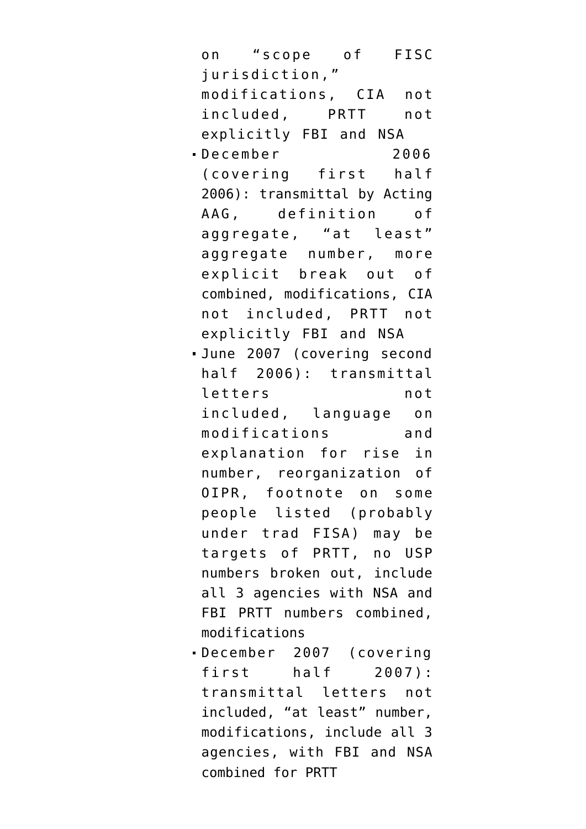on "scope of FISC jurisdiction," modifications, CIA not included, PRTT not explicitly FBI and NSA December 2006 (covering first half 2006): transmittal by Acting AAG, definition of aggregate, "at least" aggregate number, more explicit break out of combined, modifications, CIA not included, PRTT not explicitly FBI and NSA [June 2007](https://www.epic.org/foia/doj/pen-reg-trap-trace/013.%20June%202007%20SAR%20%5BPRTT%20pages%5D-OCR.pdf) (covering second half 2006): transmittal letters not included, language on modifications and explanation for rise in number, reorganization of OIPR, footnote on some people listed (probably under trad FISA) may be targets of PRTT, no USP numbers broken out, include all 3 agencies with NSA and FBI PRTT numbers combined, modifications [December 2007](https://www.epic.org/foia/doj/pen-reg-trap-trace/014.%20December%202007%20SAR%20%5BPRTT%20pages%5D-OCR.pdf) (covering first half 2007): transmittal letters not included, "at least" number, modifications, include all 3 agencies, with FBI and NSA combined for PRTT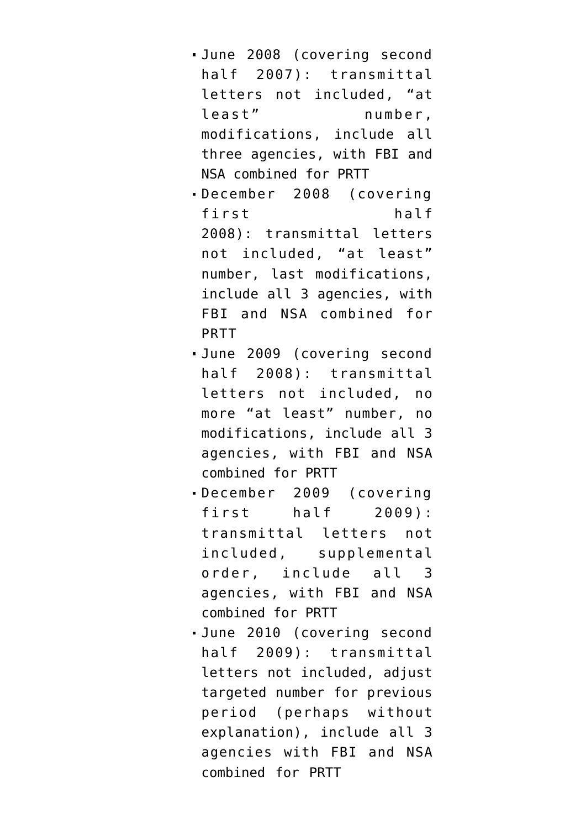- [June 2008](https://www.epic.org/foia/doj/pen-reg-trap-trace/015.%20June%202008%20SAR%20%5BPRTT%20pages%5D-OCR.pdf) (covering second half 2007): transmittal letters not included, "at least" number, modifications, include all three agencies, with FBI and NSA combined for PRTT
- [December 2008](https://www.epic.org/foia/doj/pen-reg-trap-trace/016.%20December%202008%20SAR%20%5BPRTT%20pages%5D-OCR.pdf) (covering first half 2008): transmittal letters not included, "at least" number, last modifications, include all 3 agencies, with FBI and NSA combined for PRTT
- [June 2009](https://www.epic.org/foia/doj/pen-reg-trap-trace/017.%20June%202009%20SAR%20%5BPRTT%20pages%5D-OCR.pdf) (covering second half 2008): transmittal letters not included, no more "at least" number, no modifications, include all 3 agencies, with FBI and NSA combined for PRTT
- [December 2009](https://www.epic.org/foia/doj/pen-reg-trap-trace/018.%20December%202009%20SAR%20%5BPRTT%20pages%5D-OCR.pdf) (covering first half 2009): transmittal letters not included, supplemental order, include all 3 agencies, with FBI and NSA combined for PRTT
- [June 2010](https://www.epic.org/foia/doj/pen-reg-trap-trace/019.%20June%202010%20SAR%20%5BPRTT%20pages%5D-OCR.pdf) (covering second half 2009): transmittal letters not included, adjust targeted number for previous period (perhaps without explanation), include all 3 agencies with FBI and NSA combined for PRTT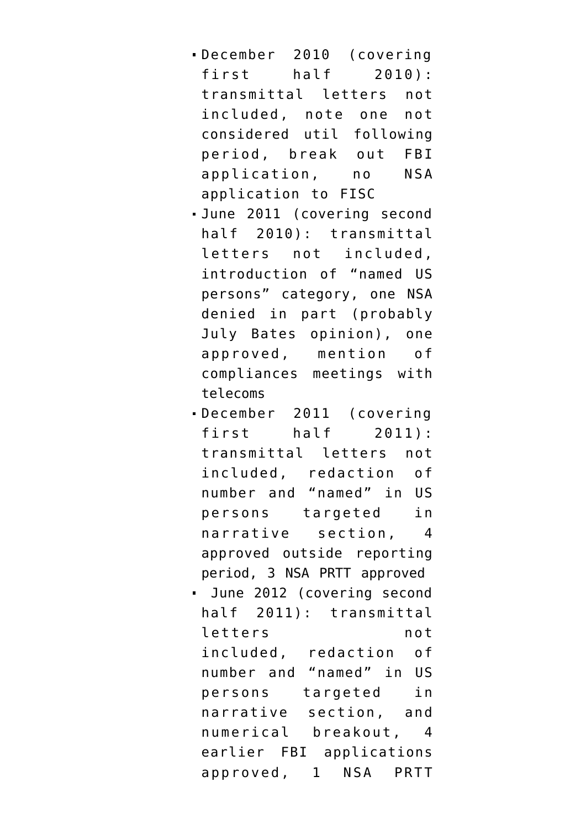- [December 2010](https://www.epic.org/foia/doj/pen-reg-trap-trace/020.%20December%202010%20SAR%20%5BPRTT%20pages%5D-OCR.pdf) (covering first half 2010): transmittal letters not included, note one not considered util following period, break out FBI application, no NSA application to FISC
- [June 2011](https://www.epic.org/foia/doj/pen-reg-trap-trace/021.%20June%202011%20SAR%20%5BPRTT%20pages%5D-OCR.pdf) (covering second half 2010): transmittal letters not included, introduction of "named US persons" category, one NSA denied in part (probably July Bates opinion), one approved, mention of compliances meetings with telecoms
- [December 2011](https://www.epic.org/foia/doj/pen-reg-trap-trace/022.%20December%202011%20SAR%20%5BPRTT%20pages%5D-OCR.pdf) (covering first half 2011): transmittal letters not included, redaction of number and "named" in US persons targeted in narrative section, 4 approved outside reporting period, 3 NSA PRTT approved
- [June 2012](https://www.epic.org/foia/doj/pen-reg-trap-trace/023.%20June%202012%20SAR%20%5BPRTT%20pages%5D-OCR.pdf) (covering second half 2011): transmittal letters not included, redaction of number and "named" in US persons targeted in narrative section, and numerical breakout, 4 earlier FBI applications approved, 1 NSA PRTT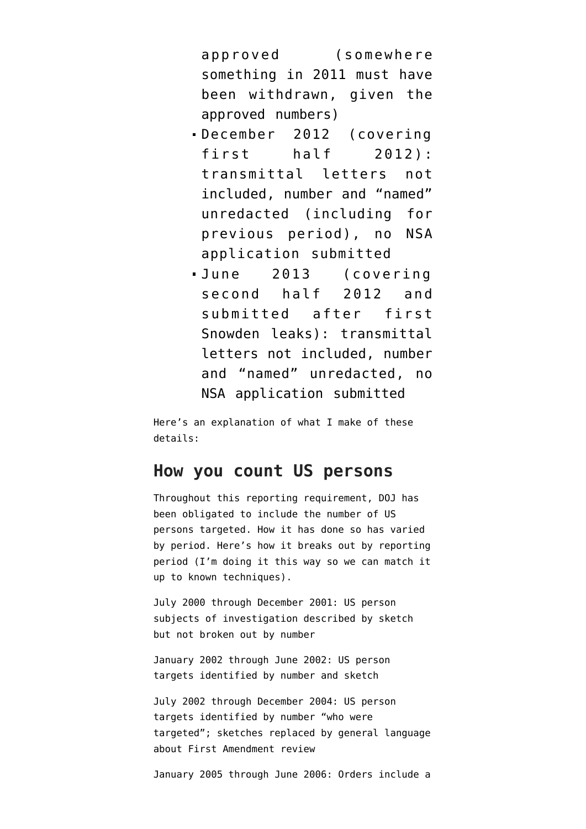approved (somewhere something in 2011 must have been withdrawn, given the approved numbers)

- [December 2012](https://www.epic.org/foia/doj/pen-reg-trap-trace/024.%20December%202012%20SAR%20%5BPRTT%20pages%5D-OCR.pdf) (covering first half 2012): transmittal letters not included, number and "named" unredacted (including for previous period), no NSA application submitted
- [June 2013](https://www.epic.org/foia/doj/pen-reg-trap-trace/025.%20June%202013%20SAR%20%5BPRTT%20pages%5D-OCR.pdf) (covering second half 2012 and submitted after first Snowden leaks): transmittal letters not included, number and "named" unredacted, no NSA application submitted

Here's an explanation of what I make of these details:

## **How you count US persons**

Throughout this reporting requirement, DOJ has been obligated to include the number of US persons targeted. How it has done so has varied by period. Here's how it breaks out by reporting period (I'm doing it this way so we can match it up to known techniques).

July 2000 through December 2001: US person subjects of investigation described by sketch but not broken out by number

January 2002 through June 2002: US person targets identified by number and sketch

July 2002 through December 2004: US person targets identified by number "who were targeted"; sketches replaced by general language about First Amendment review

January 2005 through June 2006: Orders include a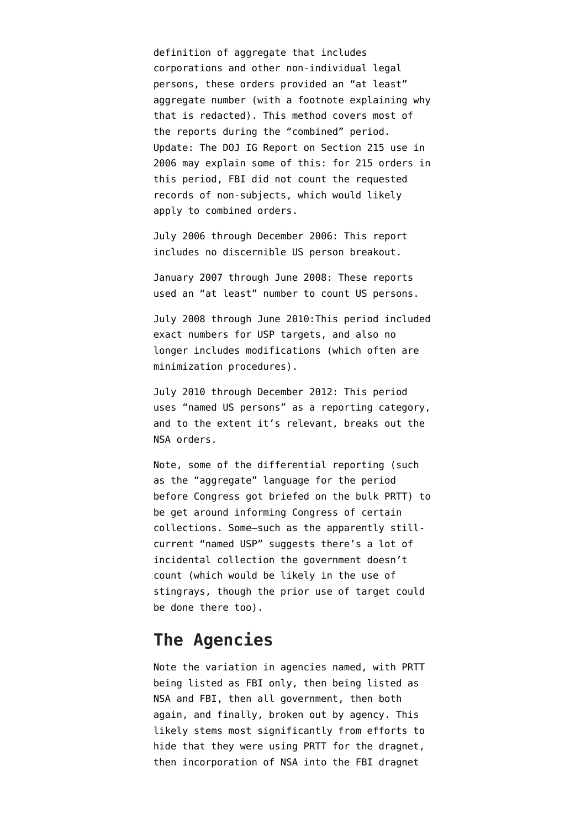definition of aggregate that includes corporations and other non-individual legal persons, these orders provided an "at least" aggregate number (with a footnote explaining why that is redacted). This method covers most of the reports during the "combined" period. Update: The [DOJ IG Report on Section 215 use in](http://www.justice.gov/oig/special/s0803a/final.pdf) [2006](http://www.justice.gov/oig/special/s0803a/final.pdf) may explain some of this: for 215 orders in this period, FBI did not count the requested records of non-subjects, which would likely apply to combined orders.

July 2006 through December 2006: This report includes no discernible US person breakout.

January 2007 through June 2008: These reports used an "at least" number to count US persons.

July 2008 through June 2010:This period included exact numbers for USP targets, and also no longer includes modifications (which often are minimization procedures).

July 2010 through December 2012: This period uses "named US persons" as a reporting category, and to the extent it's relevant, breaks out the NSA orders.

Note, some of the differential reporting (such as the "aggregate" language for the period before Congress got briefed on the bulk PRTT) to be get around informing Congress of certain collections. Some–such as the apparently stillcurrent "named USP" suggests there's a lot of incidental collection the government doesn't count (which would be likely in the use of stingrays, though the prior use of target could be done there too).

## **The Agencies**

Note the variation in agencies named, with PRTT being listed as FBI only, then being listed as NSA and FBI, then all government, then both again, and finally, broken out by agency. This likely stems most significantly from efforts to hide that they were using PRTT for the dragnet, then incorporation of NSA into the FBI dragnet